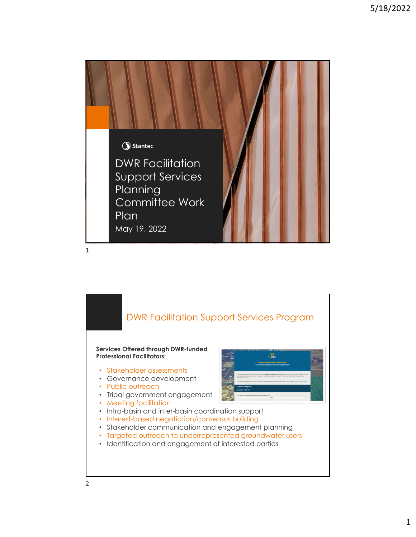

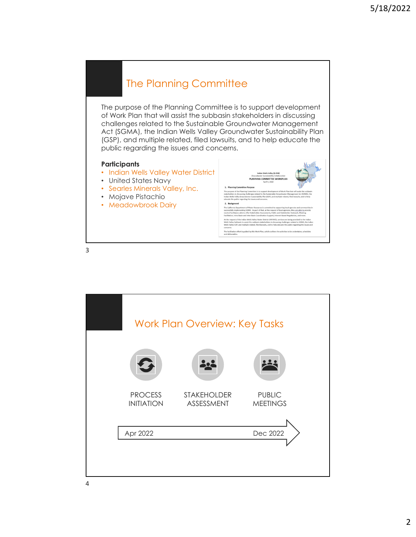

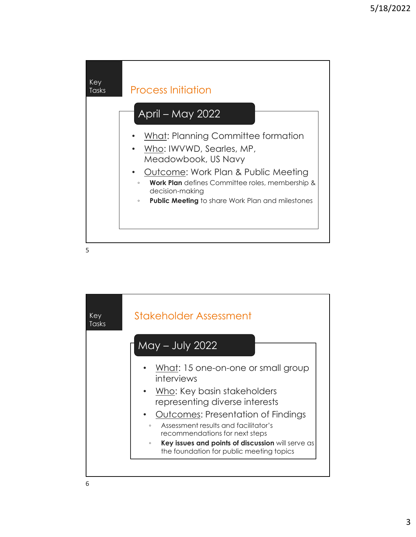![](_page_2_Figure_1.jpeg)

| Key<br>Tasks | Stakeholder Assessment                                                                             |
|--------------|----------------------------------------------------------------------------------------------------|
|              | May – July 2022                                                                                    |
|              | What: 15 one-on-one or small group<br>interviews                                                   |
|              | • Who: Key basin stakeholders<br>representing diverse interests                                    |
|              | <b>Outcomes: Presentation of Findings</b><br>$\bullet$                                             |
|              | Assessment results and facilitator's<br>$\circ$<br>recommendations for next steps                  |
|              | Key issues and points of discussion will serve as<br>O<br>the foundation for public meeting topics |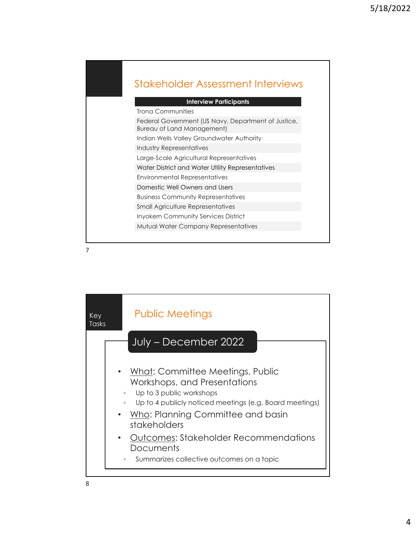## Stakeholder Assessment Interviews

| <b>Interview Participants</b>                                                            |
|------------------------------------------------------------------------------------------|
| Trona Communities                                                                        |
| Federal Government (US Navy, Department of Justice,<br><b>Bureau of Land Management)</b> |
| Indian Wells Valley Groundwater Authority                                                |
| Industry Representatives                                                                 |
| Large-Scale Agricultural Representatives                                                 |
| Water District and Water Utility Representatives                                         |
| Environmental Representatives                                                            |
| Domestic Well Owners and Users                                                           |
| <b>Business Community Representatives</b>                                                |
| <b>Small Agriculture Representatives</b>                                                 |
| <b>Inyokern Community Services District</b>                                              |
| Mutual Water Company Representatives                                                     |
|                                                                                          |

![](_page_3_Figure_4.jpeg)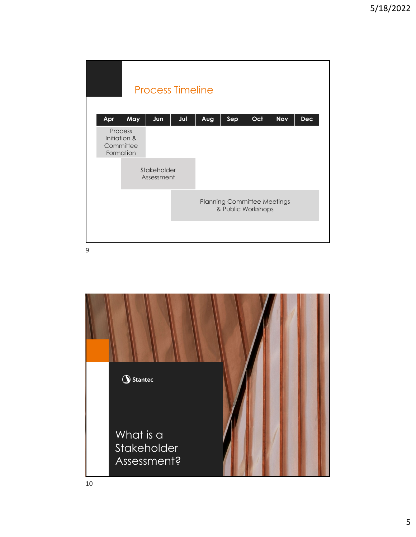| <b>Process Timeline</b> |                                                   |     |     |                                                          |     |     |            |            |  |  |  |
|-------------------------|---------------------------------------------------|-----|-----|----------------------------------------------------------|-----|-----|------------|------------|--|--|--|
| Apr                     | May                                               | Jun | Jul | Aug                                                      | Sep | Oct | <b>Nov</b> | <b>Dec</b> |  |  |  |
|                         | Process<br>Initiation &<br>Committee<br>Formation |     |     |                                                          |     |     |            |            |  |  |  |
|                         | Stakeholder<br>Assessment                         |     |     |                                                          |     |     |            |            |  |  |  |
|                         |                                                   |     |     | <b>Planning Committee Meetings</b><br>& Public Workshops |     |     |            |            |  |  |  |
|                         |                                                   |     |     |                                                          |     |     |            |            |  |  |  |

![](_page_4_Picture_3.jpeg)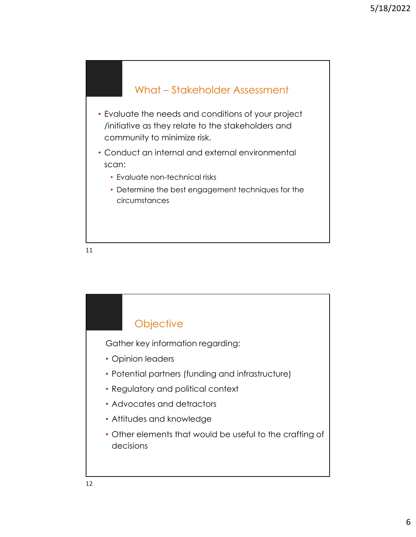![](_page_5_Figure_1.jpeg)

![](_page_5_Figure_3.jpeg)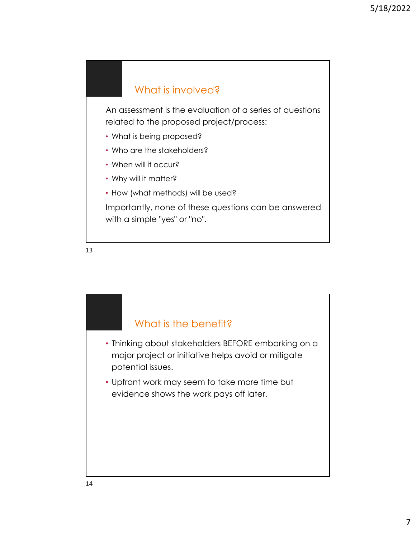## What is involved?

An assessment is the evaluation of a series of questions related to the proposed project/process:

- What is being proposed?
- Who are the stakeholders?
- When will it occur?
- Why will it matter?
- How (what methods) will be used?

Importantly, none of these questions can be answered with a simple "yes" or "no".

![](_page_6_Figure_10.jpeg)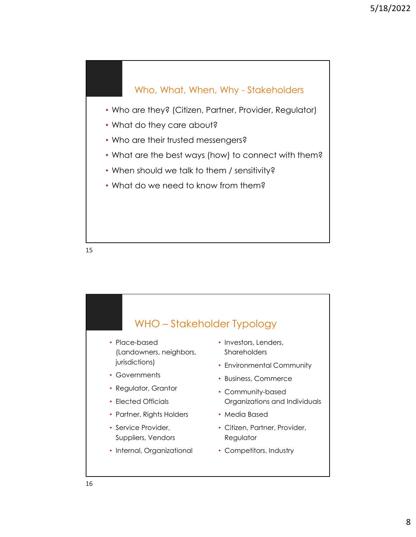![](_page_7_Figure_1.jpeg)

![](_page_7_Figure_3.jpeg)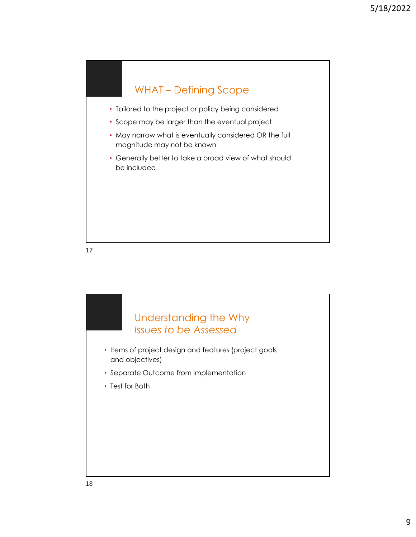![](_page_8_Figure_1.jpeg)

- Tailored to the project or policy being considered
- Scope may be larger than the eventual project
- May narrow what is eventually considered OR the full magnitude may not be known
- Generally better to take a broad view of what should be included

![](_page_8_Picture_7.jpeg)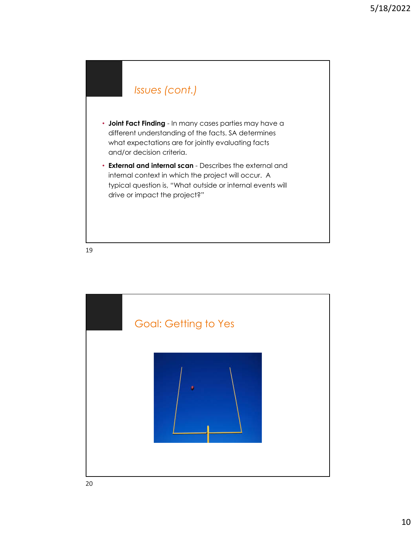## *Issues (cont.)*

- **Joint Fact Finding**  In many cases parties may have a different understanding of the facts. SA determines what expectations are for jointly evaluating facts and/or decision criteria.
- **External and internal scan**  Describes the external and internal context in which the project will occur. A typical question is, "What outside or internal events will drive or impact the project?"

![](_page_9_Figure_5.jpeg)